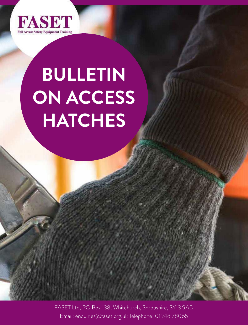

# **BULLETIN ON ACCESS HATCHES**

FASET Ltd, PO Box 138, Whitchurch, Shropshire, SY13 9AD Email: enquiries@faset.org.uk Telephone: 01948 78065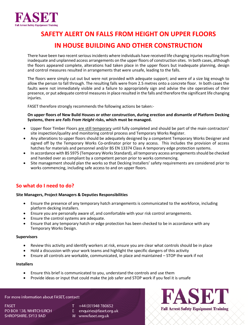

#### **SAFETY ALERT ON FALLS FROM HEIGHT ON UPPER FLOORS SAFETY ALERT ON FALLS FROM HEIGHT ON UPPER FLOORS IN ETT ALLIN ON TALLS** CAFETY ALEDT ON FALLS FROM LIFICUT ON LIDDED FLOORS **SAFLIT ALLINT ON FALLS FINOM HEIGHT ON OFFER FLOORS**

#### IN HOUSE BUILDING AND OTHER CONSTRUCTION attempt to support the weakened floor.

There have been two recent serious incidents where individuals have received life changing injuries resulting from inadequate and unplanned access arrangements on the upper floors of construction sites. In both cases, although the floors appeared complete, alterations had taken place in the upper floors but inadequate planning, design and control measures resulted in arrangements that were unsafe, leading to the falls.

The floors were simply cut out but were not provided with adequate support; and were of a size big enough to allow the person to fall through. The resulting falls were from 2.5 metres onto a concrete floor. In both cases the faults were not immediately visible and a failure to appropriately sign and advise the site operatives of their presence, or put adequate control measures in place resulted in the falls and therefore the significant life changing  $\blacksquare$ injuries. The system  $\blacksquare$  is the checked standard ( $\blacksquare$ and handed over as compliant by a competent person prior to works commencing.

FASET therefore strongly recommends the following actions be taken:-

## On upper floors of New Build Houses or other construction, during erection and dismantle of Platform Decking Systems, there are Falls From Height risks, which must be managed.

- Upper floor Timber Floors are still temporary until fully completed and should be part of the main contractors' site inspection/quality and monitoring control process and Temporary Works Register.
- Any alterations to upper floors should be adequately designed by a competent Temporary Works Designer and signed off by the Temporary Works Co-ordinator prior to any access. This includes the provision of access hatches for materials and personnel and/or BS EN 13374 Class A temporary edge protection systems.
- In accordance with BS 5975 (Temporary Works Standard), all temporary access arrangements should be checked and handed over as compliant by a competent person prior to works commencing.<br>and handed over as compliant by a competent person prior to works commencing.
- Site management should plan the works so that Decking Installers' safety requirements are considered prior to works commencing, including safe access to and on upper floors.

#### **For what do I need to do?** • The correct type of Access Hatch needs to be identified and used and used in the correct to be identified and used installed and used installed and used installed and used installed and used i accordance with the manufacturer's user instructions.

### Site Managers, Project Managers & Deputies Responsibilities

- Ensure the presence of any temporary hatch arrangements is communicated to the workforce, including monic the presence of any<br>platform decking installers.
- $\bullet$  Ensure you are personally aware of, and comfortable with your risk control arrangements.
- Ensure the control systems are adequate. **EXEN 13374 Class A and installed in accordance with BS EN 13374** Class A and installed in accordance with BS EN 13374 Class A and installed in accordance with BS EN 13374 Class A
- Ensure that any temporary hatch or edge protection has been checked to be in accordance with any Temporary Works Design.

#### **Supervisors**

- Review this activity and identify workers at risk, ensure you are clear what controls should be in place
- Hold a discussion with your work teams and highlight the specific dangers of this activity
- $\bullet$  Ensure all controls are workable, communicated, in place and maintained  $-$  STOP the work if not

#### **Installers**

- Ensure this brief is communicated to you, understand the controls and use them
- Provide ideas or input that could make the job safer and STOP work if you feel it is unsafe

#### For more information about FASET, contact:

**FASET** PO BOX 138, WHITCHURCH SHROPSHIRE, SY13 9AD

- $T + 44(0)1948780652$
- E enquiries@faset.org.uk
- W www.faset.org.uk